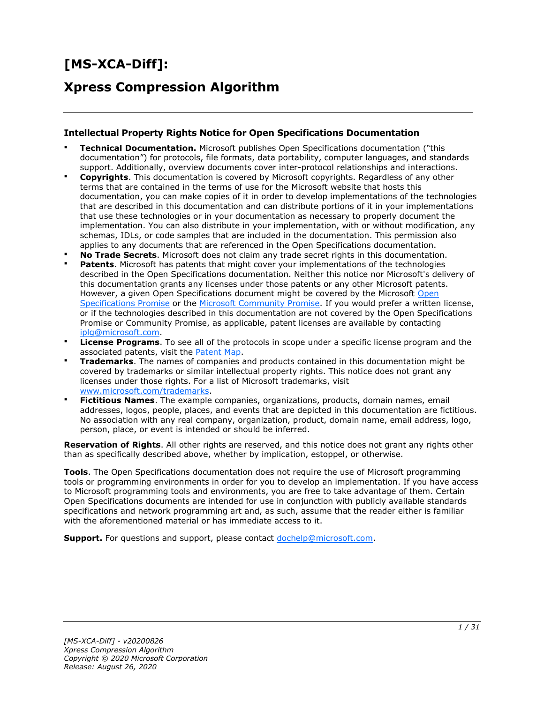# **[MS-XCA-Diff]:**

# **Xpress Compression Algorithm**

#### **Intellectual Property Rights Notice for Open Specifications Documentation**

- **Technical Documentation.** Microsoft publishes Open Specifications documentation ("this documentation") for protocols, file formats, data portability, computer languages, and standards support. Additionally, overview documents cover inter-protocol relationships and interactions.
- **Copyrights**. This documentation is covered by Microsoft copyrights. Regardless of any other terms that are contained in the terms of use for the Microsoft website that hosts this documentation, you can make copies of it in order to develop implementations of the technologies that are described in this documentation and can distribute portions of it in your implementations that use these technologies or in your documentation as necessary to properly document the implementation. You can also distribute in your implementation, with or without modification, any schemas, IDLs, or code samples that are included in the documentation. This permission also applies to any documents that are referenced in the Open Specifications documentation.
- **No Trade Secrets**. Microsoft does not claim any trade secret rights in this documentation.
- **Patents**. Microsoft has patents that might cover your implementations of the technologies described in the Open Specifications documentation. Neither this notice nor Microsoft's delivery of this documentation grants any licenses under those patents or any other Microsoft patents. However, a given [Open](https://go.microsoft.com/fwlink/?LinkId=214445) Specifications document might be covered by the Microsoft Open [Specifications Promise](https://go.microsoft.com/fwlink/?LinkId=214445) or the [Microsoft Community Promise.](https://go.microsoft.com/fwlink/?LinkId=214448) If you would prefer a written license, or if the technologies described in this documentation are not covered by the Open Specifications Promise or Community Promise, as applicable, patent licenses are available by contacting [iplg@microsoft.com.](mailto:iplg@microsoft.com)
- **License Programs**. To see all of the protocols in scope under a specific license program and the associated patents, visit the [Patent Map.](https://msdn.microsoft.com/en-us/openspecifications/dn750984)
- **Trademarks**. The names of companies and products contained in this documentation might be covered by trademarks or similar intellectual property rights. This notice does not grant any licenses under those rights. For a list of Microsoft trademarks, visit [www.microsoft.com/trademarks.](https://www.microsoft.com/trademarks)
- **Fictitious Names**. The example companies, organizations, products, domain names, email addresses, logos, people, places, and events that are depicted in this documentation are fictitious. No association with any real company, organization, product, domain name, email address, logo, person, place, or event is intended or should be inferred.

**Reservation of Rights**. All other rights are reserved, and this notice does not grant any rights other than as specifically described above, whether by implication, estoppel, or otherwise.

**Tools**. The Open Specifications documentation does not require the use of Microsoft programming tools or programming environments in order for you to develop an implementation. If you have access to Microsoft programming tools and environments, you are free to take advantage of them. Certain Open Specifications documents are intended for use in conjunction with publicly available standards specifications and network programming art and, as such, assume that the reader either is familiar with the aforementioned material or has immediate access to it.

**Support.** For questions and support, please contact [dochelp@microsoft.com.](mailto:dochelp@microsoft.com)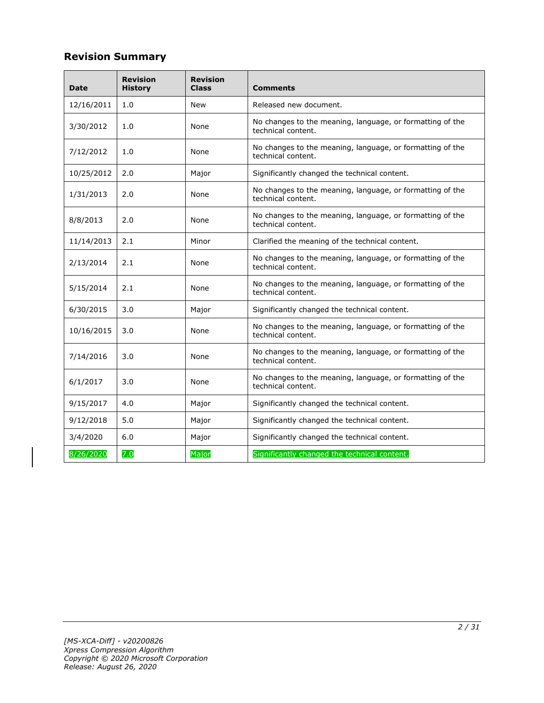# **Revision Summary**

| <b>Date</b> | <b>Revision</b><br><b>History</b> | <b>Revision</b><br><b>Class</b> | <b>Comments</b>                                                                 |
|-------------|-----------------------------------|---------------------------------|---------------------------------------------------------------------------------|
| 12/16/2011  | 1.0                               | <b>New</b>                      | Released new document.                                                          |
| 3/30/2012   | 1.0                               | None                            | No changes to the meaning, language, or formatting of the<br>technical content. |
| 7/12/2012   | 1.0                               | None                            | No changes to the meaning, language, or formatting of the<br>technical content. |
| 10/25/2012  | 2.0                               | Major                           | Significantly changed the technical content.                                    |
| 1/31/2013   | 2.0                               | None                            | No changes to the meaning, language, or formatting of the<br>technical content. |
| 8/8/2013    | 2.0                               | None                            | No changes to the meaning, language, or formatting of the<br>technical content. |
| 11/14/2013  | 2.1                               | Minor                           | Clarified the meaning of the technical content.                                 |
| 2/13/2014   | 2.1                               | None                            | No changes to the meaning, language, or formatting of the<br>technical content. |
| 5/15/2014   | 2.1                               | None                            | No changes to the meaning, language, or formatting of the<br>technical content. |
| 6/30/2015   | 3.0                               | Major                           | Significantly changed the technical content.                                    |
| 10/16/2015  | 3.0                               | None                            | No changes to the meaning, language, or formatting of the<br>technical content. |
| 7/14/2016   | 3.0                               | None                            | No changes to the meaning, language, or formatting of the<br>technical content. |
| 6/1/2017    | 3.0                               | None                            | No changes to the meaning, language, or formatting of the<br>technical content. |
| 9/15/2017   | 4.0                               | Major                           | Significantly changed the technical content.                                    |
| 9/12/2018   | 5.0                               | Major                           | Significantly changed the technical content.                                    |
| 3/4/2020    | 6.0                               | Major                           | Significantly changed the technical content.                                    |
| 8/26/2020   | 7.0                               | Major                           | Significantly changed the technical content.                                    |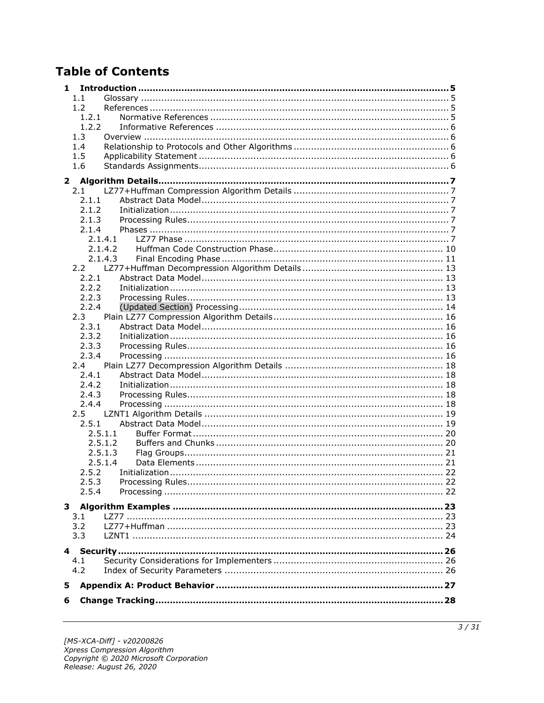# **Table of Contents**

| 1            |               |         |  |
|--------------|---------------|---------|--|
|              | 1.1           |         |  |
|              | 1.2           |         |  |
|              | 1.2.1         |         |  |
|              | 1.2.2         |         |  |
|              | 1.3           |         |  |
|              | 1.4           |         |  |
|              | 1.5           |         |  |
|              | 1.6           |         |  |
|              |               |         |  |
| $\mathbf{2}$ | 2.1           |         |  |
|              | 2.1.1         |         |  |
|              | 2.1.2         |         |  |
|              | 2.1.3         |         |  |
|              | 2.1.4         |         |  |
|              |               | 2.1.4.1 |  |
|              |               | 2.1.4.2 |  |
|              |               | 2.1.4.3 |  |
|              |               |         |  |
|              | 2.2.1         |         |  |
|              | 2.2.2         |         |  |
|              | 2.2.3         |         |  |
|              | 2.2.4         |         |  |
|              | 2.3           |         |  |
|              | 2.3.1         |         |  |
|              | 2.3.2         |         |  |
|              |               |         |  |
|              | 2.3.3         |         |  |
|              | 2.3.4         |         |  |
|              | 2.4           |         |  |
|              | 2.4.1         |         |  |
|              | 2.4.2         |         |  |
|              | 2.4.3         |         |  |
|              | 2.4.4         |         |  |
|              | $2.5^{\circ}$ |         |  |
|              | 2.5.1         |         |  |
|              |               | 2.5.1.1 |  |
|              |               | 2.5.1.2 |  |
|              |               | 2.5.1.3 |  |
|              |               | 2.5.1.4 |  |
|              | 2.5.2         |         |  |
|              | 2.5.3         |         |  |
|              | 2.5.4         |         |  |
|              |               |         |  |
|              | 3.1           |         |  |
|              | 3.2           |         |  |
|              | 3.3           |         |  |
|              |               |         |  |
|              |               |         |  |
|              | 4.1           |         |  |
|              | 4.2           |         |  |
| 5            |               |         |  |
| 6            |               |         |  |
|              |               |         |  |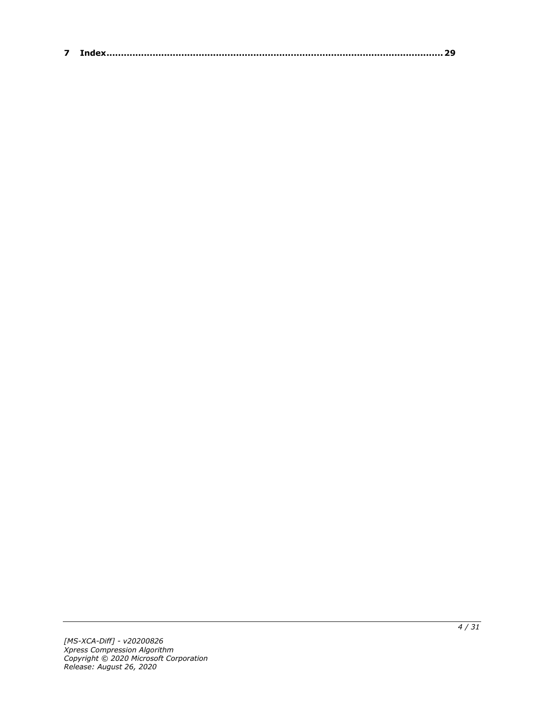| – |  |
|---|--|
|---|--|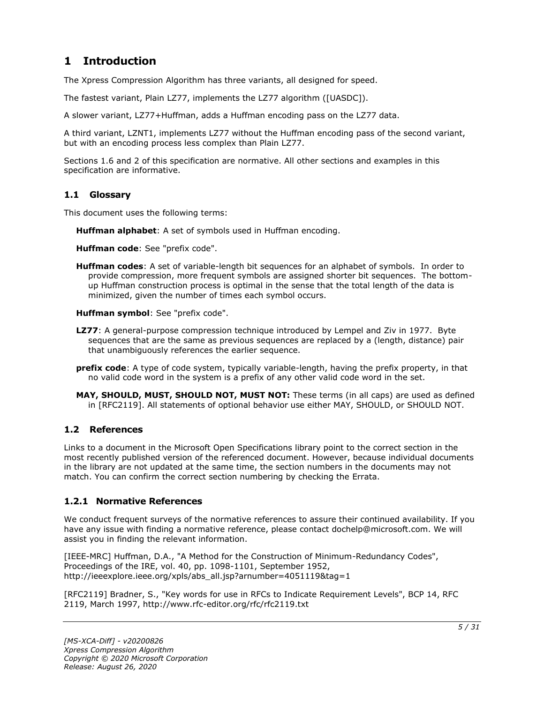# <span id="page-4-0"></span>**1 Introduction**

The Xpress Compression Algorithm has three variants, all designed for speed.

The fastest variant, Plain LZ77, implements the LZ77 algorithm ([UASDC]).

A slower variant, LZ77+Huffman, adds a Huffman encoding pass on the LZ77 data.

A third variant, LZNT1, implements LZ77 without the Huffman encoding pass of the second variant, but with an encoding process less complex than Plain LZ77.

Sections 1.6 and 2 of this specification are normative. All other sections and examples in this specification are informative.

### <span id="page-4-1"></span>**1.1 Glossary**

This document uses the following terms:

**Huffman alphabet**: A set of symbols used in Huffman encoding.

**Huffman code**: See "prefix code".

**Huffman codes**: A set of variable-length bit sequences for an alphabet of symbols. In order to provide compression, more frequent symbols are assigned shorter bit sequences. The bottomup Huffman construction process is optimal in the sense that the total length of the data is minimized, given the number of times each symbol occurs.

**Huffman symbol**: See "prefix code".

- **LZ77**: A general-purpose compression technique introduced by Lempel and Ziv in 1977. Byte sequences that are the same as previous sequences are replaced by a (length, distance) pair that unambiguously references the earlier sequence.
- **prefix code**: A type of code system, typically variable-length, having the prefix property, in that no valid code word in the system is a prefix of any other valid code word in the set.
- **MAY, SHOULD, MUST, SHOULD NOT, MUST NOT:** These terms (in all caps) are used as defined in [RFC2119]. All statements of optional behavior use either MAY, SHOULD, or SHOULD NOT.

#### <span id="page-4-2"></span>**1.2 References**

Links to a document in the Microsoft Open Specifications library point to the correct section in the most recently published version of the referenced document. However, because individual documents in the library are not updated at the same time, the section numbers in the documents may not match. You can confirm the correct section numbering by checking the Errata.

#### <span id="page-4-3"></span>**1.2.1 Normative References**

We conduct frequent surveys of the normative references to assure their continued availability. If you have any issue with finding a normative reference, please contact dochelp@microsoft.com. We will assist you in finding the relevant information.

[IEEE-MRC] Huffman, D.A., "A Method for the Construction of Minimum-Redundancy Codes", Proceedings of the IRE, vol. 40, pp. 1098-1101, September 1952, http://ieeexplore.ieee.org/xpls/abs\_all.jsp?arnumber=4051119&tag=1

[RFC2119] Bradner, S., "Key words for use in RFCs to Indicate Requirement Levels", BCP 14, RFC 2119, March 1997, http://www.rfc-editor.org/rfc/rfc2119.txt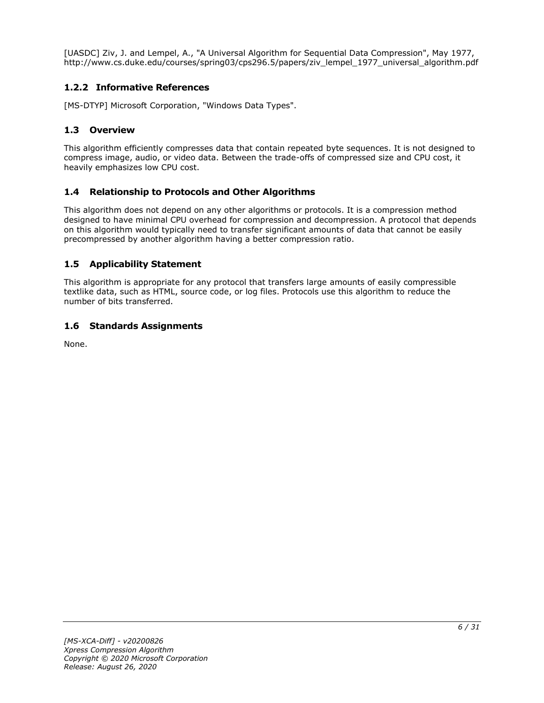[UASDC] Ziv, J. and Lempel, A., "A Universal Algorithm for Sequential Data Compression", May 1977, http://www.cs.duke.edu/courses/spring03/cps296.5/papers/ziv\_lempel\_1977\_universal\_algorithm.pdf

# <span id="page-5-0"></span>**1.2.2 Informative References**

[MS-DTYP] Microsoft Corporation, "Windows Data Types".

# <span id="page-5-1"></span>**1.3 Overview**

This algorithm efficiently compresses data that contain repeated byte sequences. It is not designed to compress image, audio, or video data. Between the trade-offs of compressed size and CPU cost, it heavily emphasizes low CPU cost.

#### <span id="page-5-2"></span>**1.4 Relationship to Protocols and Other Algorithms**

This algorithm does not depend on any other algorithms or protocols. It is a compression method designed to have minimal CPU overhead for compression and decompression. A protocol that depends on this algorithm would typically need to transfer significant amounts of data that cannot be easily precompressed by another algorithm having a better compression ratio.

# <span id="page-5-3"></span>**1.5 Applicability Statement**

This algorithm is appropriate for any protocol that transfers large amounts of easily compressible textlike data, such as HTML, source code, or log files. Protocols use this algorithm to reduce the number of bits transferred.

### <span id="page-5-4"></span>**1.6 Standards Assignments**

None.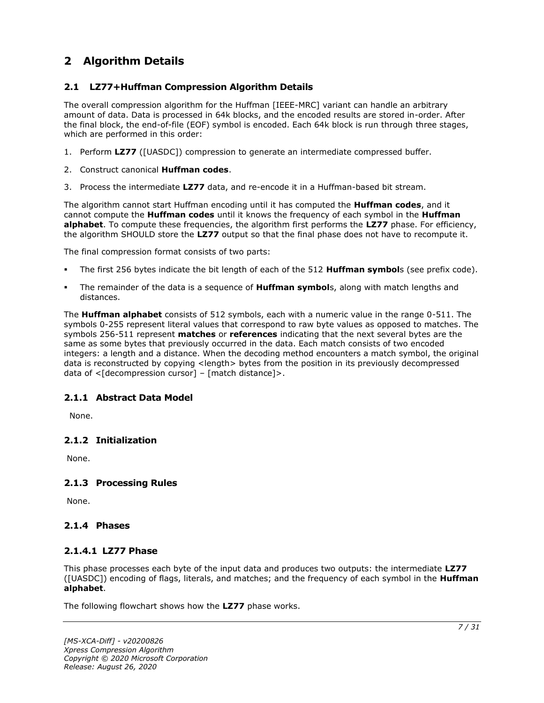# <span id="page-6-0"></span>**2 Algorithm Details**

# <span id="page-6-1"></span>**2.1 LZ77+Huffman Compression Algorithm Details**

The overall compression algorithm for the Huffman [IEEE-MRC] variant can handle an arbitrary amount of data. Data is processed in 64k blocks, and the encoded results are stored in-order. After the final block, the end-of-file (EOF) symbol is encoded. Each 64k block is run through three stages, which are performed in this order:

- 1. Perform **LZ77** ([UASDC]) compression to generate an intermediate compressed buffer.
- 2. Construct canonical **Huffman codes**.
- 3. Process the intermediate **LZ77** data, and re-encode it in a Huffman-based bit stream.

The algorithm cannot start Huffman encoding until it has computed the **Huffman codes**, and it cannot compute the **Huffman codes** until it knows the frequency of each symbol in the **Huffman alphabet**. To compute these frequencies, the algorithm first performs the **LZ77** phase. For efficiency, the algorithm SHOULD store the **LZ77** output so that the final phase does not have to recompute it.

The final compression format consists of two parts:

- The first 256 bytes indicate the bit length of each of the 512 **Huffman symbol**s (see prefix code).
- The remainder of the data is a sequence of **Huffman symbol**s, along with match lengths and distances.

The **Huffman alphabet** consists of 512 symbols, each with a numeric value in the range 0-511. The symbols 0-255 represent literal values that correspond to raw byte values as opposed to matches. The symbols 256-511 represent **matches** or **references** indicating that the next several bytes are the same as some bytes that previously occurred in the data. Each match consists of two encoded integers: a length and a distance. When the decoding method encounters a match symbol, the original data is reconstructed by copying <length> bytes from the position in its previously decompressed data of  $\leq$ [decompression cursor] – [match distance]>.

# <span id="page-6-2"></span>**2.1.1 Abstract Data Model**

None.

# <span id="page-6-3"></span>**2.1.2 Initialization**

None.

#### <span id="page-6-4"></span>**2.1.3 Processing Rules**

None.

# <span id="page-6-6"></span><span id="page-6-5"></span>**2.1.4 Phases**

#### **2.1.4.1 LZ77 Phase**

This phase processes each byte of the input data and produces two outputs: the intermediate **LZ77** ([UASDC]) encoding of flags, literals, and matches; and the frequency of each symbol in the **Huffman alphabet**.

The following flowchart shows how the **LZ77** phase works.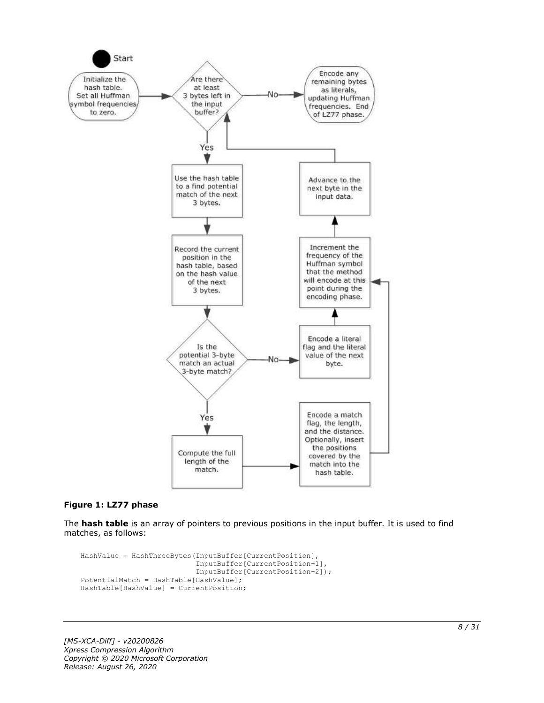

#### **Figure 1: LZ77 phase**

The **hash table** is an array of pointers to previous positions in the input buffer. It is used to find matches, as follows:

```
HashValue = HashThreeBytes(InputBuffer[CurrentPosition],
                            InputBuffer[CurrentPosition+1],
                           InputBuffer[CurrentPosition+2]);
PotentialMatch = HashTable[HashValue];
HashTable[HashValue] = CurrentPosition;
```
*[MS-XCA-Diff] - v20200826 Xpress Compression Algorithm Copyright © 2020 Microsoft Corporation Release: August 26, 2020*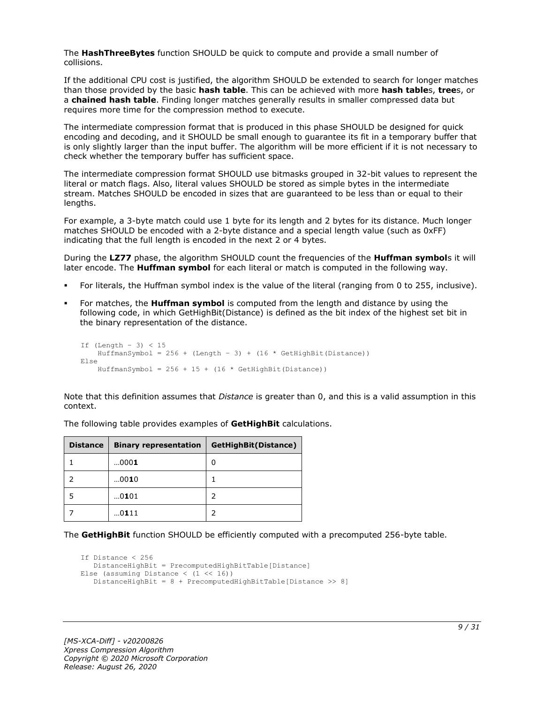The **HashThreeBytes** function SHOULD be quick to compute and provide a small number of collisions.

If the additional CPU cost is justified, the algorithm SHOULD be extended to search for longer matches than those provided by the basic **hash table**. This can be achieved with more **hash table**s, **tree**s, or a **chained hash table**. Finding longer matches generally results in smaller compressed data but requires more time for the compression method to execute.

The intermediate compression format that is produced in this phase SHOULD be designed for quick encoding and decoding, and it SHOULD be small enough to guarantee its fit in a temporary buffer that is only slightly larger than the input buffer. The algorithm will be more efficient if it is not necessary to check whether the temporary buffer has sufficient space.

The intermediate compression format SHOULD use bitmasks grouped in 32-bit values to represent the literal or match flags. Also, literal values SHOULD be stored as simple bytes in the intermediate stream. Matches SHOULD be encoded in sizes that are guaranteed to be less than or equal to their lengths.

For example, a 3-byte match could use 1 byte for its length and 2 bytes for its distance. Much longer matches SHOULD be encoded with a 2-byte distance and a special length value (such as 0xFF) indicating that the full length is encoded in the next 2 or 4 bytes.

During the **LZ77** phase, the algorithm SHOULD count the frequencies of the **Huffman symbol**s it will later encode. The **Huffman symbol** for each literal or match is computed in the following way.

- For literals, the Huffman symbol index is the value of the literal (ranging from 0 to 255, inclusive).
- For matches, the **Huffman symbol** is computed from the length and distance by using the following code, in which GetHighBit(Distance) is defined as the bit index of the highest set bit in the binary representation of the distance.

```
If (Lenqth - 3) < 15HuffmanSymbol = 256 + (Length - 3) + (16 * GetHighBit(Distance))Else
    HuffmanSymbol = 256 + 15 + (16 * \text{GetHighBit}(\text{Distance}))
```
Note that this definition assumes that *Distance* is greater than 0, and this is a valid assumption in this context.

| <b>Distance</b> | <b>Binary representation</b> | GetHighBit(Distance) |
|-----------------|------------------------------|----------------------|
|                 | 0001                         | 0                    |
|                 | 0010                         |                      |
|                 | 0101                         |                      |
|                 | 0111                         |                      |

The following table provides examples of **GetHighBit** calculations.

The **GetHighBit** function SHOULD be efficiently computed with a precomputed 256-byte table.

```
If Distance < 256
    DistanceHighBit = PrecomputedHighBitTable[Distance]
Else (assuming Distance \langle (1 \langle 16))
    DistanceHighBit = 8 + PrecomputedHighBitTable[Distance >> 8]
```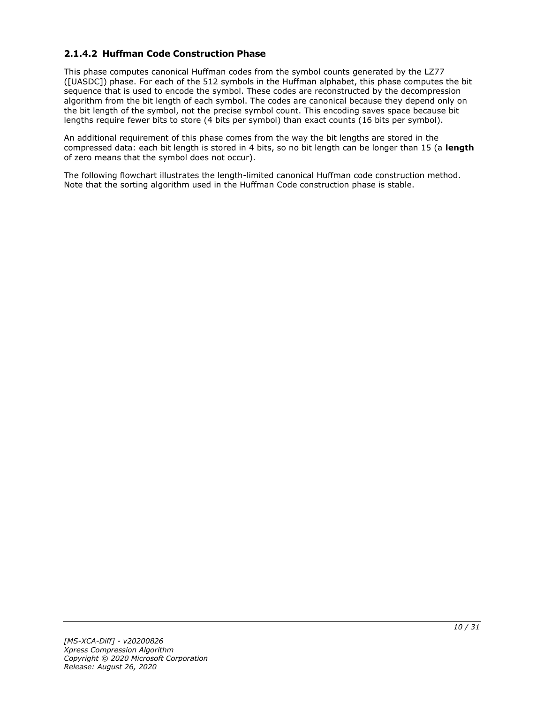# <span id="page-9-0"></span>**2.1.4.2 Huffman Code Construction Phase**

This phase computes canonical Huffman codes from the symbol counts generated by the LZ77 ([UASDC]) phase. For each of the 512 symbols in the Huffman alphabet, this phase computes the bit sequence that is used to encode the symbol. These codes are reconstructed by the decompression algorithm from the bit length of each symbol. The codes are canonical because they depend only on the bit length of the symbol, not the precise symbol count. This encoding saves space because bit lengths require fewer bits to store (4 bits per symbol) than exact counts (16 bits per symbol).

An additional requirement of this phase comes from the way the bit lengths are stored in the compressed data: each bit length is stored in 4 bits, so no bit length can be longer than 15 (a **length** of zero means that the symbol does not occur).

The following flowchart illustrates the length-limited canonical Huffman code construction method. Note that the sorting algorithm used in the Huffman Code construction phase is stable.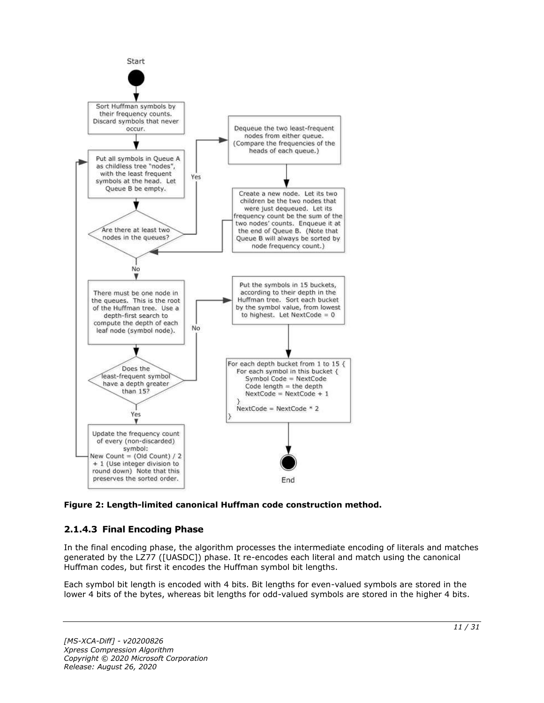

**Figure 2: Length-limited canonical Huffman code construction method.**

# <span id="page-10-0"></span>**2.1.4.3 Final Encoding Phase**

In the final encoding phase, the algorithm processes the intermediate encoding of literals and matches generated by the LZ77 ([UASDC]) phase. It re-encodes each literal and match using the canonical Huffman codes, but first it encodes the Huffman symbol bit lengths.

Each symbol bit length is encoded with 4 bits. Bit lengths for even-valued symbols are stored in the lower 4 bits of the bytes, whereas bit lengths for odd-valued symbols are stored in the higher 4 bits.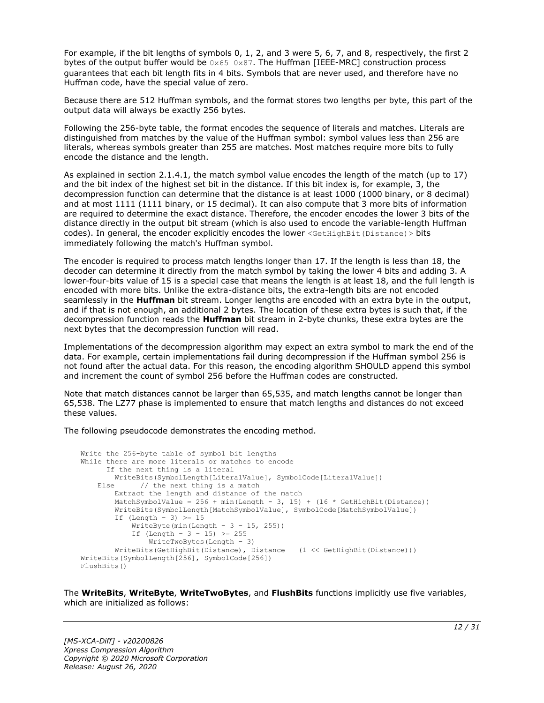For example, if the bit lengths of symbols 0, 1, 2, and 3 were 5, 6, 7, and 8, respectively, the first 2 bytes of the output buffer would be  $0 \times 65$  0x87. The Huffman [IEEE-MRC] construction process guarantees that each bit length fits in 4 bits. Symbols that are never used, and therefore have no Huffman code, have the special value of zero.

Because there are 512 Huffman symbols, and the format stores two lengths per byte, this part of the output data will always be exactly 256 bytes.

Following the 256-byte table, the format encodes the sequence of literals and matches. Literals are distinguished from matches by the value of the Huffman symbol: symbol values less than 256 are literals, whereas symbols greater than 255 are matches. Most matches require more bits to fully encode the distance and the length.

As explained in section 2.1.4.1, the match symbol value encodes the length of the match (up to 17) and the bit index of the highest set bit in the distance. If this bit index is, for example, 3, the decompression function can determine that the distance is at least 1000 (1000 binary, or 8 decimal) and at most 1111 (1111 binary, or 15 decimal). It can also compute that 3 more bits of information are required to determine the exact distance. Therefore, the encoder encodes the lower 3 bits of the distance directly in the output bit stream (which is also used to encode the variable-length Huffman codes). In general, the encoder explicitly encodes the lower <GetHighBit(Distance) > bits immediately following the match's Huffman symbol.

The encoder is required to process match lengths longer than 17. If the length is less than 18, the decoder can determine it directly from the match symbol by taking the lower 4 bits and adding 3. A lower-four-bits value of 15 is a special case that means the length is at least 18, and the full length is encoded with more bits. Unlike the extra-distance bits, the extra-length bits are not encoded seamlessly in the **Huffman** bit stream. Longer lengths are encoded with an extra byte in the output, and if that is not enough, an additional 2 bytes. The location of these extra bytes is such that, if the decompression function reads the **Huffman** bit stream in 2-byte chunks, these extra bytes are the next bytes that the decompression function will read.

Implementations of the decompression algorithm may expect an extra symbol to mark the end of the data. For example, certain implementations fail during decompression if the Huffman symbol 256 is not found after the actual data. For this reason, the encoding algorithm SHOULD append this symbol and increment the count of symbol 256 before the Huffman codes are constructed.

Note that match distances cannot be larger than 65.535, and match lengths cannot be longer than 65,538. The LZ77 phase is implemented to ensure that match lengths and distances do not exceed these values.

The following pseudocode demonstrates the encoding method.

```
Write the 256-byte table of symbol bit lengths
While there are more literals or matches to encode
      If the next thing is a literal
         WriteBits(SymbolLength[LiteralValue], SymbolCode[LiteralValue])
   Else // the next thing is a match
         Extract the length and distance of the match
        MatchSymbolValue = 256 + min(Length - 3, 15) + (16 * GetHighBit(Distance))
         WriteBits(SymbolLength[MatchSymbolValue], SymbolCode[MatchSymbolValue])
        If (Length - 3) \geq 15
            WriteByte(min(Length - 3 - 15, 255))
           If (Length - 3 - 15) >= 255
               WriteTwoBytes(Length - 3)
         WriteBits(GetHighBit(Distance), Distance – (1 << GetHighBit(Distance)))
WriteBits(SymbolLength[256], SymbolCode[256])
FlushBits()
```
The **WriteBits**, **WriteByte**, **WriteTwoBytes**, and **FlushBits** functions implicitly use five variables, which are initialized as follows: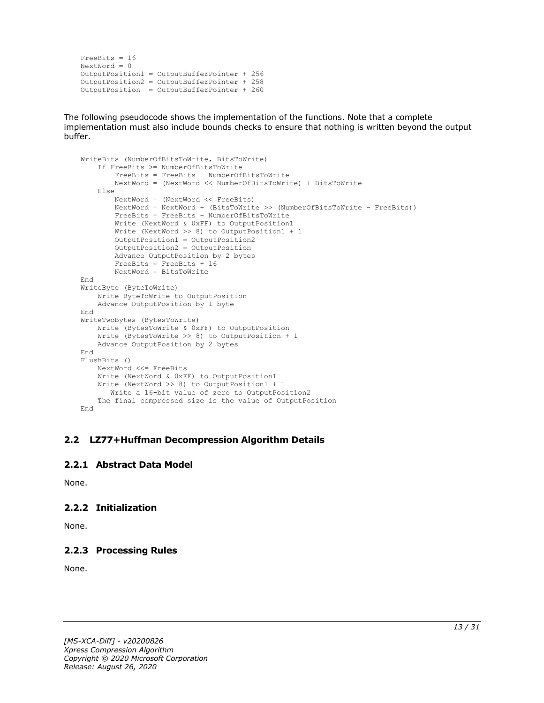```
FreeBits = 16
NextWord = 0
OutputPosition1 = OutputBufferPointer + 256
OutputPosition2 = OutputBufferPointer + 258 
OutputPosition = OutputBufferPointer + 260
```
The following pseudocode shows the implementation of the functions. Note that a complete implementation must also include bounds checks to ensure that nothing is written beyond the output buffer.

```
WriteBits (NumberOfBitsToWrite, BitsToWrite)
     If FreeBits >= NumberOfBitsToWrite
         FreeBits = FreeBits – NumberOfBitsToWrite
         NextWord = (NextWord << NumberOfBitsToWrite) + BitsToWrite
     Else
         NextWord = (NextWord << FreeBits)
         NextWord = NextWord + (BitsToWrite >> (NumberOfBitsToWrite – FreeBits))
         FreeBits = FreeBits – NumberOfBitsToWrite
         Write (NextWord & 0xFF) to OutputPosition1
         Write (NextWord >> 8) to OutputPosition1 + 1
         OutputPosition1 = OutputPosition2
        OutputPosition2 = OutputPosition
         Advance OutputPosition by 2 bytes
         FreeBits = FreeBits + 16
         NextWord = BitsToWrite
End
WriteByte (ByteToWrite)
    Write ByteToWrite to OutputPosition
     Advance OutputPosition by 1 byte
End
WriteTwoBytes (BytesToWrite)
     Write (BytesToWrite & 0xFF) to OutputPosition
     Write (BytesToWrite >> 8) to OutputPosition + 1
     Advance OutputPosition by 2 bytes
End
FlushBits ()
     NextWord <<= FreeBits
     Write (NextWord & 0xFF) to OutputPosition1
     Write (NextWord >> 8) to OutputPosition1 + 1
       Write a 16-bit value of zero to OutputPosition2
     The final compressed size is the value of OutputPosition
End
```
#### <span id="page-12-0"></span>**2.2 LZ77+Huffman Decompression Algorithm Details**

#### <span id="page-12-1"></span>**2.2.1 Abstract Data Model**

None.

# <span id="page-12-2"></span>**2.2.2 Initialization**

None.

# <span id="page-12-3"></span>**2.2.3 Processing Rules**

None.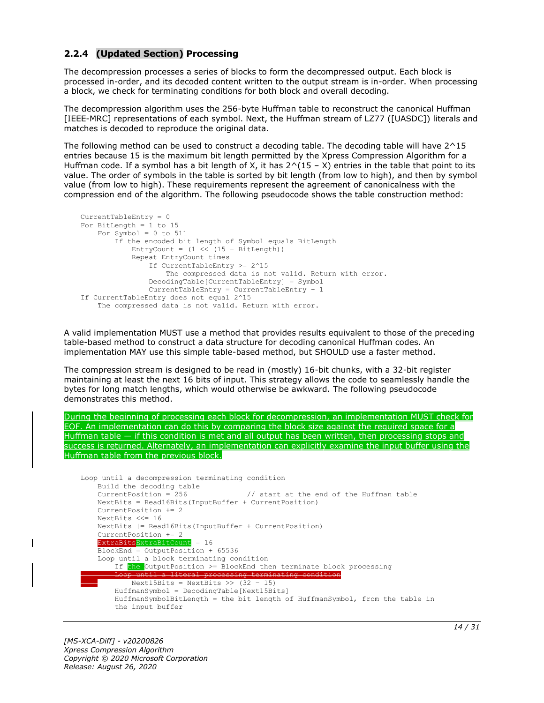# <span id="page-13-0"></span>**2.2.4 (Updated Section) Processing**

The decompression processes a series of blocks to form the decompressed output. Each block is processed in-order, and its decoded content written to the output stream is in-order. When processing a block, we check for terminating conditions for both block and overall decoding.

The decompression algorithm uses the 256-byte Huffman table to reconstruct the canonical Huffman [IEEE-MRC] representations of each symbol. Next, the Huffman stream of LZ77 ([UASDC]) literals and matches is decoded to reproduce the original data.

The following method can be used to construct a decoding table. The decoding table will have 2^15 entries because 15 is the maximum bit length permitted by the Xpress Compression Algorithm for a Huffman code. If a symbol has a bit length of X, it has  $2^(15 - X)$  entries in the table that point to its value. The order of symbols in the table is sorted by bit length (from low to high), and then by symbol value (from low to high). These requirements represent the agreement of canonicalness with the compression end of the algorithm. The following pseudocode shows the table construction method:

```
CurrentTableEntry = 0
For BitLength = 1 to 15
   For Symbol = 0 to 511
         If the encoded bit length of Symbol equals BitLength
            \text{Entropy} = (1 \leq (15 - \text{BitLength})) Repeat EntryCount times
                 If CurrentTableEntry >= 2^15
                     The compressed data is not valid. Return with error.
                 DecodingTable[CurrentTableEntry] = Symbol
                 CurrentTableEntry = CurrentTableEntry + 1
If CurrentTableEntry does not equal 2^15
     The compressed data is not valid. Return with error.
```
A valid implementation MUST use a method that provides results equivalent to those of the preceding table-based method to construct a data structure for decoding canonical Huffman codes. An implementation MAY use this simple table-based method, but SHOULD use a faster method.

The compression stream is designed to be read in (mostly) 16-bit chunks, with a 32-bit register maintaining at least the next 16 bits of input. This strategy allows the code to seamlessly handle the bytes for long match lengths, which would otherwise be awkward. The following pseudocode demonstrates this method.

```
During the beginning of processing each block for decompression, an implementation MUST check for 
EOF. An implementation can do this by comparing the block size against the required space for a 
Huffman table — if this condition is met and all output has been written, then processing stops and 
success is returned. Alternately, an implementation can explicitly examine the input buffer using the 
Huffman table from the previous block.
```

```
Loop until a decompression terminating condition 
    Build the decoding table
   CurrentPosition = 256 // start at the end of the Huffman table
    NextBits = Read16Bits(InputBuffer + CurrentPosition)
    CurrentPosition += 2
    NextBits <<= 16
    NextBits |= Read16Bits(InputBuffer + CurrentPosition)
    CurrentPosition += 2
     ExtraBits<mark>ExtraBitCount</mark> = 16
    BlockEnd = OutputPosition + 65536
    Loop until a block terminating condition
        If the OutputPosition >= BlockEnd then terminate block processing
Loop until a literal processing terminating condition
           Next15Bits = NextBits \gg (32 - 15) HuffmanSymbol = DecodingTable[Next15Bits]
         HuffmanSymbolBitLength = the bit length of HuffmanSymbol, from the table in
         the input buffer
```
 $\mathbf{I}$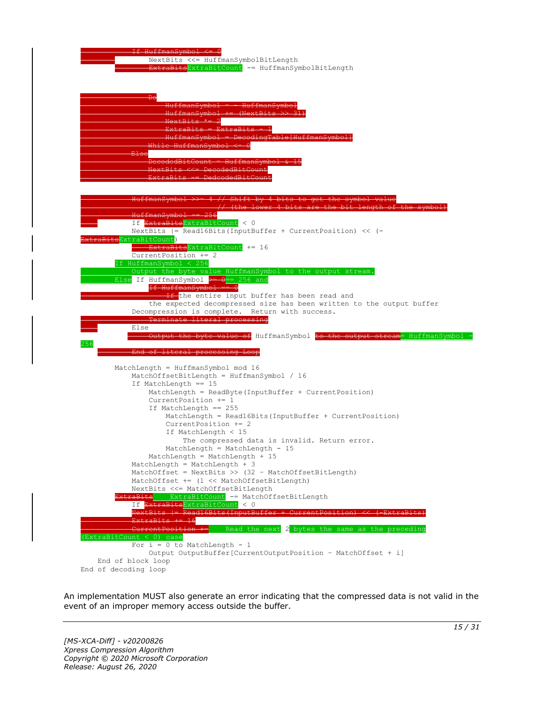

An implementation MUST also generate an error indicating that the compressed data is not valid in the event of an improper memory access outside the buffer.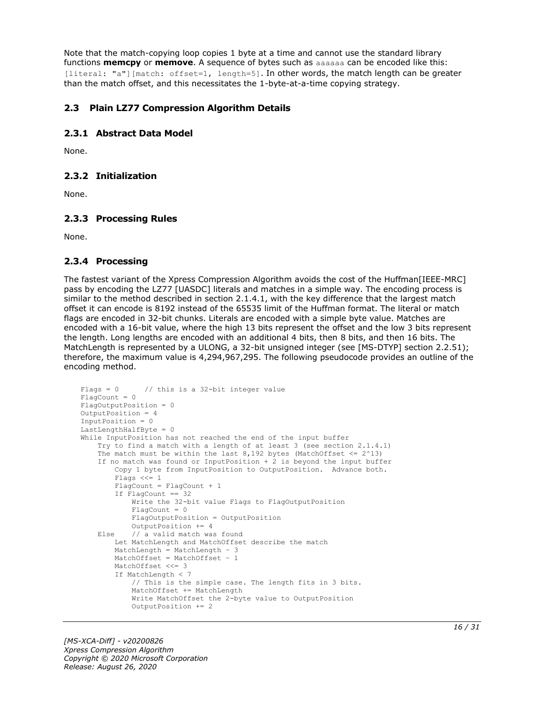Note that the match-copying loop copies 1 byte at a time and cannot use the standard library functions **memcpy** or **memove**. A sequence of bytes such as aaaaaa can be encoded like this: [literal: "a"][match: offset=1, length=5]. In other words, the match length can be greater than the match offset, and this necessitates the 1-byte-at-a-time copying strategy.

# <span id="page-15-0"></span>**2.3 Plain LZ77 Compression Algorithm Details**

# <span id="page-15-1"></span>**2.3.1 Abstract Data Model**

None.

# <span id="page-15-2"></span>**2.3.2 Initialization**

None.

# <span id="page-15-3"></span>**2.3.3 Processing Rules**

None.

# <span id="page-15-4"></span>**2.3.4 Processing**

The fastest variant of the Xpress Compression Algorithm avoids the cost of the Huffman[IEEE-MRC] pass by encoding the LZ77 [UASDC] literals and matches in a simple way. The encoding process is similar to the method described in section 2.1.4.1, with the key difference that the largest match offset it can encode is 8192 instead of the 65535 limit of the Huffman format. The literal or match flags are encoded in 32-bit chunks. Literals are encoded with a simple byte value. Matches are encoded with a 16-bit value, where the high 13 bits represent the offset and the low 3 bits represent the length. Long lengths are encoded with an additional 4 bits, then 8 bits, and then 16 bits. The MatchLength is represented by a ULONG, a 32-bit unsigned integer (see [MS-DTYP] section 2.2.51); therefore, the maximum value is 4,294,967,295. The following pseudocode provides an outline of the encoding method.

```
Flags = 0 // this is a 32-bit integer value
FlagCount = 0
FlagOutputPosition = 0
OutputPosition = 4
InputPosition = 0
LastLengthHalfByte = 0
While InputPosition has not reached the end of the input buffer
     Try to find a match with a length of at least 3 (see section 2.1.4.1)
    The match must be within the last 8,192 bytes (MatchOffset \leq 2^13)
     If no match was found or InputPosition + 2 is beyond the input buffer
         Copy 1 byte from InputPosition to OutputPosition. Advance both.
         Flags <<= 1
        FlaqCount = FlagCount + 1 If FlagCount == 32
             Write the 32-bit value Flags to FlagOutputPosition
            FlacCount = 0 FlagOutputPosition = OutputPosition
            OutputPosition += 4
     Else // a valid match was found
         Let MatchLength and MatchOffset describe the match
         MatchLength = MatchLength – 3
         MatchOffset = MatchOffset – 1
         MatchOffset <<= 3
         If MatchLength < 7
             // This is the simple case. The length fits in 3 bits.
             MatchOffset += MatchLength
             Write MatchOffset the 2-byte value to OutputPosition
             OutputPosition += 2
```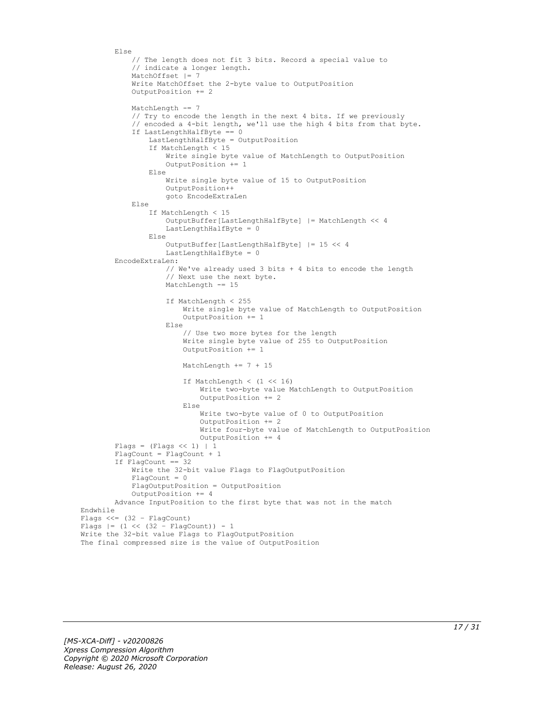```
 Else
             // The length does not fit 3 bits. Record a special value to
             // indicate a longer length.
             MatchOffset |= 7
             Write MatchOffset the 2-byte value to OutputPosition
             OutputPosition += 2
            MatchLength -= 7
             // Try to encode the length in the next 4 bits. If we previously
             // encoded a 4-bit length, we'll use the high 4 bits from that byte.
             If LastLengthHalfByte == 0
                 LastLengthHalfByte = OutputPosition
                 If MatchLength < 15
                     Write single byte value of MatchLength to OutputPosition
                    OutputPosition += 1
                 Else
                     Write single byte value of 15 to OutputPosition
                    OutputPosition++
                     goto EncodeExtraLen
             Else
                  If MatchLength < 15
                     OutputBuffer[LastLengthHalfByte] |= MatchLength << 4
                    LastLengthHalfByte = 0
                  Else
                     OutputBuffer[LastLengthHalfByte] |= 15 << 4
                    LastLengthHalfByte = 0
         EncodeExtraLen:
                     // We've already used 3 bits + 4 bits to encode the length
                    // Next use the next byte.
                    MatchLength -= 15
                     If MatchLength < 255
                          Write single byte value of MatchLength to OutputPosition
                         OutputPosition += 1
                     Else
                          // Use two more bytes for the length
                         Write single byte value of 255 to OutputPosition
                         OutputPosition += 1
                          MatchLength += 7 + 15
                          If MatchLength < (1 << 16)
                              Write two-byte value MatchLength to OutputPosition
                              OutputPosition += 2
                          Else
                              Write two-byte value of 0 to OutputPosition
                              OutputPosition += 2
                             Write four-byte value of MatchLength to OutputPosition
                              OutputPosition += 4
        Flags = (Flags << 1) | 1 FlagCount = FlagCount + 1
         If FlagCount == 32
             Write the 32-bit value Flags to FlagOutputPosition
            Fla<sub>0</sub>Count = 0
             FlagOutputPosition = OutputPosition
             OutputPosition += 4
         Advance InputPosition to the first byte that was not in the match
Endwhile
Flags <<=(32 - \text{FlagCount})Flags |= (1 \lt\lt (32 - \text{FlagCount})) - 1Write the 32-bit value Flags to FlagOutputPosition
The final compressed size is the value of OutputPosition
```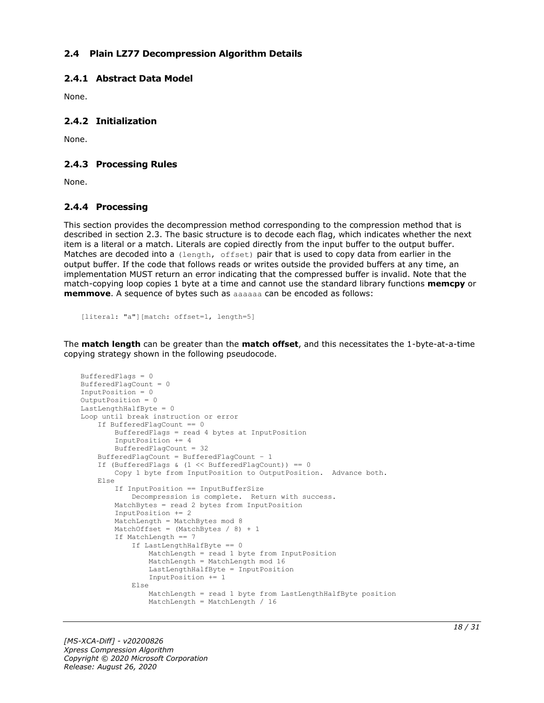### <span id="page-17-0"></span>**2.4 Plain LZ77 Decompression Algorithm Details**

#### <span id="page-17-1"></span>**2.4.1 Abstract Data Model**

None.

# <span id="page-17-2"></span>**2.4.2 Initialization**

None.

#### <span id="page-17-3"></span>**2.4.3 Processing Rules**

None.

#### <span id="page-17-4"></span>**2.4.4 Processing**

This section provides the decompression method corresponding to the compression method that is described in section 2.3. The basic structure is to decode each flag, which indicates whether the next item is a literal or a match. Literals are copied directly from the input buffer to the output buffer. Matches are decoded into a (length, offset) pair that is used to copy data from earlier in the output buffer. If the code that follows reads or writes outside the provided buffers at any time, an implementation MUST return an error indicating that the compressed buffer is invalid. Note that the match-copying loop copies 1 byte at a time and cannot use the standard library functions **memcpy** or **memmove**. A sequence of bytes such as aaaaaa can be encoded as follows:

```
[literal: "a"][match: offset=1, length=5]
```
The **match length** can be greater than the **match offset**, and this necessitates the 1-byte-at-a-time copying strategy shown in the following pseudocode.

```
BufferedFlags = 0
BufferedFlagCount = 0
InputPosition = 0
OutputPosition = 0
LastLengthHalfByte = 0Loop until break instruction or error
     If BufferedFlagCount == 0
         BufferedFlags = read 4 bytes at InputPosition
         InputPosition += 4
         BufferedFlagCount = 32
     BufferedFlagCount = BufferedFlagCount – 1
     If (BufferedFlags & (1 << BufferedFlagCount)) == 0
         Copy 1 byte from InputPosition to OutputPosition. Advance both.
     Else
         If InputPosition == InputBufferSize
             Decompression is complete. Return with success.
         MatchBytes = read 2 bytes from InputPosition
         InputPosition += 2
         MatchLength = MatchBytes mod 8
        MatchOffset = (MatchBytes / 8) + 1 If MatchLength == 7
             If LastLengthHalfByte == 0
                 MatchLength = read 1 byte from InputPosition
                 MatchLength = MatchLength mod 16
                LastLengthHalfByte = InputPosition
                 InputPosition += 1
             Else
                 MatchLength = read 1 byte from LastLengthHalfByte position
                MatchLength = MatchLength / 16
```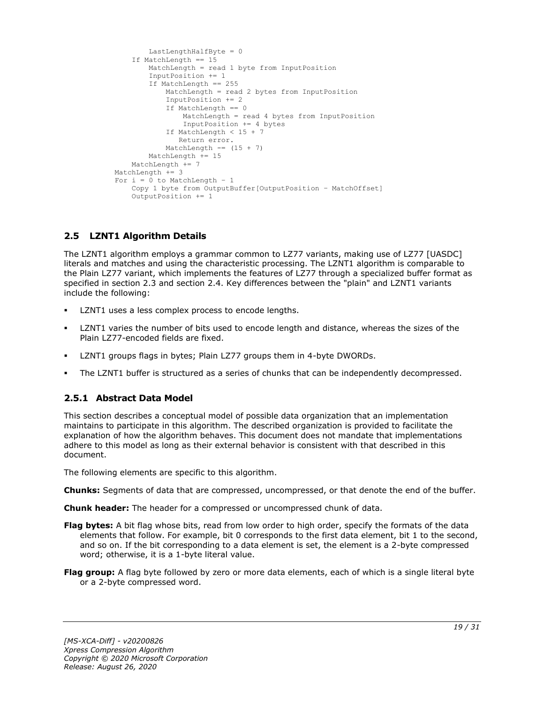```
 LastLengthHalfByte = 0
     If MatchLength == 15
        MatchLength = read 1 byte from InputPosition
         InputPosition += 1
         If MatchLength == 255
             MatchLength = read 2 bytes from InputPosition
            InputPosition += 2
            If MatchLength == 0
                 MatchLength = read 4 bytes from InputPosition
                InputPosition += 4 bytes
             If MatchLength < 15 + 7
                Return error.
            MatchLength == (15 + 7)
         MatchLength += 15
     MatchLength += 7
 MatchLength += 3
For i = 0 to MatchLength - 1
     Copy 1 byte from OutputBuffer[OutputPosition – MatchOffset]
     OutputPosition += 1
```
# <span id="page-18-0"></span>**2.5 LZNT1 Algorithm Details**

The LZNT1 algorithm employs a grammar common to LZ77 variants, making use of LZ77 [UASDC] literals and matches and using the characteristic processing. The LZNT1 algorithm is comparable to the Plain LZ77 variant, which implements the features of LZ77 through a specialized buffer format as specified in section 2.3 and section 2.4. Key differences between the "plain" and LZNT1 variants include the following:

- LZNT1 uses a less complex process to encode lengths.
- LZNT1 varies the number of bits used to encode length and distance, whereas the sizes of the Plain LZ77-encoded fields are fixed.
- LZNT1 groups flags in bytes; Plain LZ77 groups them in 4-byte DWORDs.
- The LZNT1 buffer is structured as a series of chunks that can be independently decompressed.

# <span id="page-18-1"></span>**2.5.1 Abstract Data Model**

This section describes a conceptual model of possible data organization that an implementation maintains to participate in this algorithm. The described organization is provided to facilitate the explanation of how the algorithm behaves. This document does not mandate that implementations adhere to this model as long as their external behavior is consistent with that described in this document.

The following elements are specific to this algorithm.

**Chunks:** Segments of data that are compressed, uncompressed, or that denote the end of the buffer.

**Chunk header:** The header for a compressed or uncompressed chunk of data.

- **Flag bytes:** A bit flag whose bits, read from low order to high order, specify the formats of the data elements that follow. For example, bit 0 corresponds to the first data element, bit 1 to the second, and so on. If the bit corresponding to a data element is set, the element is a 2-byte compressed word; otherwise, it is a 1-byte literal value.
- **Flag group:** A flag byte followed by zero or more data elements, each of which is a single literal byte or a 2-byte compressed word.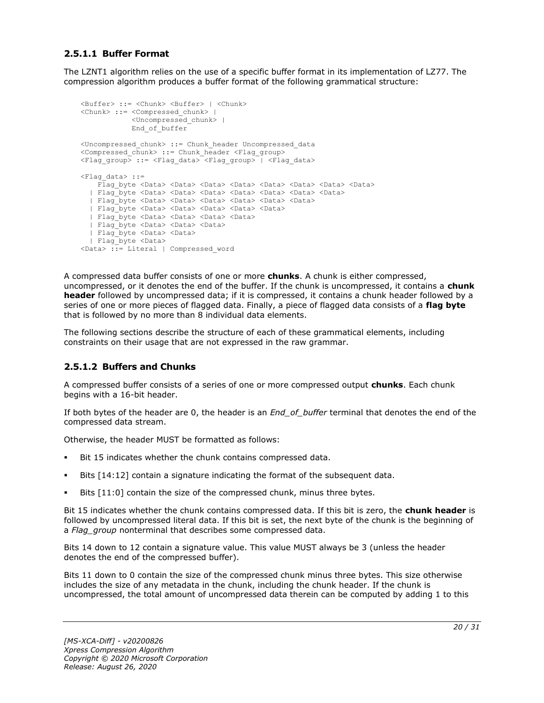# <span id="page-19-0"></span>**2.5.1.1 Buffer Format**

The LZNT1 algorithm relies on the use of a specific buffer format in its implementation of LZ77. The compression algorithm produces a buffer format of the following grammatical structure:

```
<Buffer> ::= <Chunk> <Buffer> | <Chunk>
<Chunk> ::= <Compressed_chunk> | 
            <Uncompressed_chunk> |
            End_of_buffer
<Uncompressed_chunk> ::= Chunk_header Uncompressed_data
<Compressed_chunk> ::= Chunk_header <Flag_group>
<Flag_group> ::= <Flag_data> <Flag_group> | <Flag_data>
<Flag_data> ::=
   Flag byte <Data> <Data> <Data> <Data> <Data> <Data> <Data> <Data> <Data> <Data>
   | Flag_byte <Data> <Data> <Data> <Data> <Data> <Data> <Data>
  | Flag_byte <Data> <Data> <Data> <Data> <Data> <Data>
  | Flag_byte <Data> <Data> <Data> <Data> <Data>
  | Flag_byte <Data> <Data> <Data> <Data>
  | Flag_byte <Data> <Data> <Data> 
  | Flag_byte <Data> <Data>
  | Flag_byte <Data> 
<Data> ::= Literal | Compressed_word
```
A compressed data buffer consists of one or more **chunks**. A chunk is either compressed, uncompressed, or it denotes the end of the buffer. If the chunk is uncompressed, it contains a **chunk header** followed by uncompressed data; if it is compressed, it contains a chunk header followed by a series of one or more pieces of flagged data. Finally, a piece of flagged data consists of a **flag byte** that is followed by no more than 8 individual data elements.

The following sections describe the structure of each of these grammatical elements, including constraints on their usage that are not expressed in the raw grammar.

#### <span id="page-19-1"></span>**2.5.1.2 Buffers and Chunks**

A compressed buffer consists of a series of one or more compressed output **chunks**. Each chunk begins with a 16-bit header.

If both bytes of the header are 0, the header is an *End\_of\_buffer* terminal that denotes the end of the compressed data stream.

Otherwise, the header MUST be formatted as follows:

- Bit 15 indicates whether the chunk contains compressed data.
- Bits  $[14:12]$  contain a signature indicating the format of the subsequent data.
- Bits [11:0] contain the size of the compressed chunk, minus three bytes.

Bit 15 indicates whether the chunk contains compressed data. If this bit is zero, the **chunk header** is followed by uncompressed literal data. If this bit is set, the next byte of the chunk is the beginning of a *Flag\_group* nonterminal that describes some compressed data.

Bits 14 down to 12 contain a signature value. This value MUST always be 3 (unless the header denotes the end of the compressed buffer).

Bits 11 down to 0 contain the size of the compressed chunk minus three bytes. This size otherwise includes the size of any metadata in the chunk, including the chunk header. If the chunk is uncompressed, the total amount of uncompressed data therein can be computed by adding 1 to this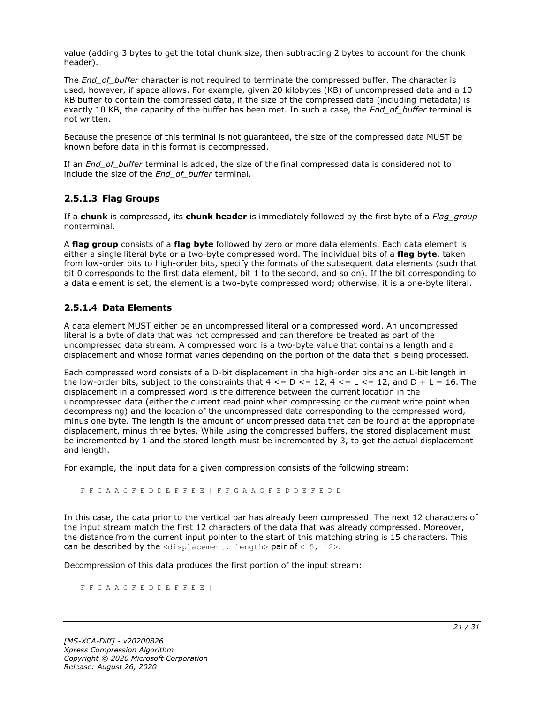value (adding 3 bytes to get the total chunk size, then subtracting 2 bytes to account for the chunk header).

The *End* of buffer character is not required to terminate the compressed buffer. The character is used, however, if space allows. For example, given 20 kilobytes (KB) of uncompressed data and a 10 KB buffer to contain the compressed data, if the size of the compressed data (including metadata) is exactly 10 KB, the capacity of the buffer has been met. In such a case, the *End\_of\_buffer* terminal is not written.

Because the presence of this terminal is not guaranteed, the size of the compressed data MUST be known before data in this format is decompressed.

If an *End\_of\_buffer* terminal is added, the size of the final compressed data is considered not to include the size of the *End\_of\_buffer* terminal.

# <span id="page-20-0"></span>**2.5.1.3 Flag Groups**

If a **chunk** is compressed, its **chunk header** is immediately followed by the first byte of a *Flag\_group* nonterminal.

A **flag group** consists of a **flag byte** followed by zero or more data elements. Each data element is either a single literal byte or a two-byte compressed word. The individual bits of a **flag byte**, taken from low-order bits to high-order bits, specify the formats of the subsequent data elements (such that bit 0 corresponds to the first data element, bit 1 to the second, and so on). If the bit corresponding to a data element is set, the element is a two-byte compressed word; otherwise, it is a one-byte literal.

### <span id="page-20-1"></span>**2.5.1.4 Data Elements**

A data element MUST either be an uncompressed literal or a compressed word. An uncompressed literal is a byte of data that was not compressed and can therefore be treated as part of the uncompressed data stream. A compressed word is a two-byte value that contains a length and a displacement and whose format varies depending on the portion of the data that is being processed.

Each compressed word consists of a D-bit displacement in the high-order bits and an L-bit length in the low-order bits, subject to the constraints that  $4 \leq D \leq 12$ ,  $4 \leq L \leq 12$ , and  $D + L = 16$ . The displacement in a compressed word is the difference between the current location in the uncompressed data (either the current read point when compressing or the current write point when decompressing) and the location of the uncompressed data corresponding to the compressed word, minus one byte. The length is the amount of uncompressed data that can be found at the appropriate displacement, minus three bytes. While using the compressed buffers, the stored displacement must be incremented by 1 and the stored length must be incremented by 3, to get the actual displacement and length.

For example, the input data for a given compression consists of the following stream:

F F G A A G F E D D E F F E E | F F G A A G F E D D E F E D D

In this case, the data prior to the vertical bar has already been compressed. The next 12 characters of the input stream match the first 12 characters of the data that was already compressed. Moreover, the distance from the current input pointer to the start of this matching string is 15 characters. This can be described by the <displacement, length> pair of <15, 12>.

Decompression of this data produces the first portion of the input stream:

F F G A A G F E D D E F F E E |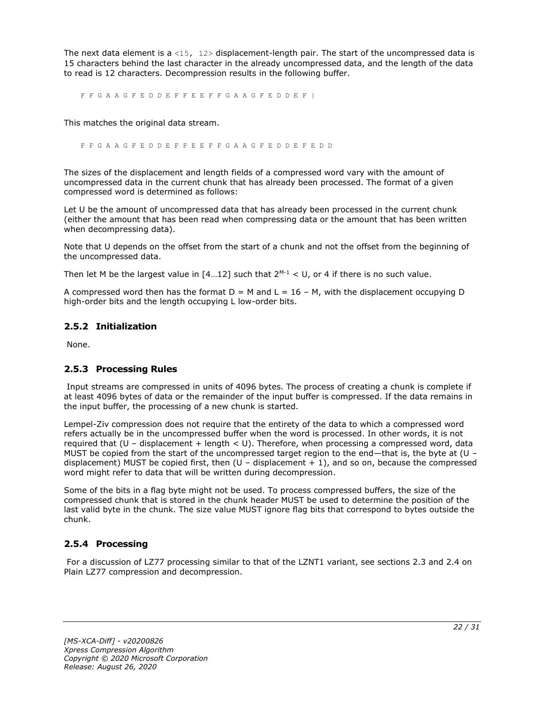The next data element is a <15,  $12$ > displacement-length pair. The start of the uncompressed data is 15 characters behind the last character in the already uncompressed data, and the length of the data to read is 12 characters. Decompression results in the following buffer.

F F G A A G F E D D E F F E E F F G A A G F E D D E F |

This matches the original data stream.

F F G A A G F E D D E F F E E F F G A A G F E D D E F E D D

The sizes of the displacement and length fields of a compressed word vary with the amount of uncompressed data in the current chunk that has already been processed. The format of a given compressed word is determined as follows:

Let U be the amount of uncompressed data that has already been processed in the current chunk (either the amount that has been read when compressing data or the amount that has been written when decompressing data).

Note that U depends on the offset from the start of a chunk and not the offset from the beginning of the uncompressed data.

Then let M be the largest value in  $[4...12]$  such that  $2^{M-1} < U$ , or 4 if there is no such value.

A compressed word then has the format  $D = M$  and  $L = 16 - M$ , with the displacement occupying D high-order bits and the length occupying L low-order bits.

### <span id="page-21-0"></span>**2.5.2 Initialization**

None.

# <span id="page-21-1"></span>**2.5.3 Processing Rules**

Input streams are compressed in units of 4096 bytes. The process of creating a chunk is complete if at least 4096 bytes of data or the remainder of the input buffer is compressed. If the data remains in the input buffer, the processing of a new chunk is started.

Lempel-Ziv compression does not require that the entirety of the data to which a compressed word refers actually be in the uncompressed buffer when the word is processed. In other words, it is not required that  $(U -$  displacement + length  $U$ . Therefore, when processing a compressed word, data MUST be copied from the start of the uncompressed target region to the end—that is, the byte at (U – displacement) MUST be copied first, then  $(U -$  displacement  $+1$ ), and so on, because the compressed word might refer to data that will be written during decompression.

Some of the bits in a flag byte might not be used. To process compressed buffers, the size of the compressed chunk that is stored in the chunk header MUST be used to determine the position of the last valid byte in the chunk. The size value MUST ignore flag bits that correspond to bytes outside the chunk.

# <span id="page-21-2"></span>**2.5.4 Processing**

For a discussion of LZ77 processing similar to that of the LZNT1 variant, see sections 2.3 and 2.4 on Plain LZ77 compression and decompression.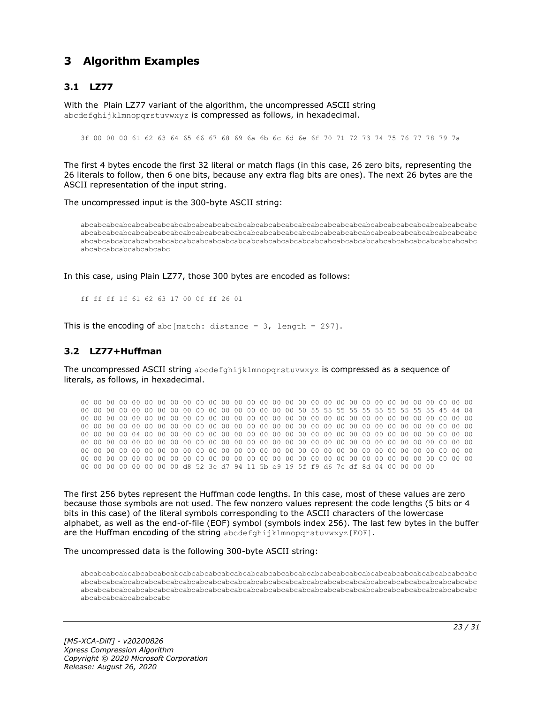# <span id="page-22-0"></span>**3 Algorithm Examples**

# <span id="page-22-1"></span>**3.1 LZ77**

With the Plain LZ77 variant of the algorithm, the uncompressed ASCII string abcdefghijklmnopgrstuvwxyz is compressed as follows, in hexadecimal.

3f 00 00 00 61 62 63 64 65 66 67 68 69 6a 6b 6c 6d 6e 6f 70 71 72 73 74 75 76 77 78 79 7a

The first 4 bytes encode the first 32 literal or match flags (in this case, 26 zero bits, representing the 26 literals to follow, then 6 one bits, because any extra flag bits are ones). The next 26 bytes are the ASCII representation of the input string.

The uncompressed input is the 300-byte ASCII string:

abcabcabcabcabcabcabcabcabcabcabcabcabcabcabcabcabcabcabcabcabcabcabcabcabcabcabcabcabcabcabc abcabcabcabcabcabcabcabcabcabcabcabcabcabcabcabcabcabcabcabcabcabcabcabcabcabcabcabcabcabcabc abcabcabcabcabcabcabcabcabcabcabcabcabcabcabcabcabcabcabcabcabcabcabcabcabcabcabcabcabcabcabc abcabcabcabcabcabcabc

In this case, using Plain LZ77, those 300 bytes are encoded as follows:

ff ff ff 1f 61 62 63 17 00 0f ff 26 01

This is the encoding of abc[match: distance =  $3$ , length = 297].

#### <span id="page-22-2"></span>**3.2 LZ77+Huffman**

The uncompressed ASCII string abcdefghijklmnopqrstuvwxyz is compressed as a sequence of literals, as follows, in hexadecimal.

00 00 00 00 00 00 00 00 00 00 00 00 00 00 00 00 00 00 00 00 00 00 00 00 00 00 00 00 00 00 00 00 00 00 00 00 00 00 00 00 00 00 00 00 00 00 00 00 50 55 55 55 55 55 55 55 55 55 55 45 44 04 00 00 00 00 00 00 00 00 00 00 00 00 00 00 00 00 00 00 00 00 00 00 00 00 00 00 00 00 00 00 00 00 00 00 00 00 00 00 00 00 00 00 00 00 00 00 00 00 00 00 00 00 00 00 00 00 00 00 00 00 00 00 00 00 00 00 04 00 00 00 00 00 00 00 00 00 00 00 00 00 00 00 00 00 00 00 00 00 00 00 00 00 00 00 00 00 00 00 00 00 00 00 00 00 00 00 00 00 00 00 00 00 00 00 00 00 00 00 00 00 00 00 00 00 00 00 00 00 00 00 00 00 00 00 00 00 00 00 00 00 00 00 00 00 00 00 00 00 00 00 00 00 00 00 00 00 00 00 00 00 00 00 00 00 00 00 00 00 00 00 00 00 00 00 00 00 00 00 00 00 00 00 00 00 00 00 00 00 00 00 00 00 00 00 d8 52 3e d7 94 11 5b e9 19 5f f9 d6 7c df 8d 04 00 00 00 00

The first 256 bytes represent the Huffman code lengths. In this case, most of these values are zero because those symbols are not used. The few nonzero values represent the code lengths (5 bits or 4 bits in this case) of the literal symbols corresponding to the ASCII characters of the lowercase alphabet, as well as the end-of-file (EOF) symbol (symbols index 256). The last few bytes in the buffer are the Huffman encoding of the string abcdefghijklmnopqrstuvwxyz[EOF].

The uncompressed data is the following 300-byte ASCII string:

abcabcabcabcabcabcabcabcabcabcabcabcabcabcabcabcabcabcabcabcabcabcabcabcabcabcabcabcabcabcabc abcabcabcabcabcabcabcabcabcabcabcabcabcabcabcabcabcabcabcabcabcabcabcabcabcabcabcabcabcabcabc abcabcabcabcabcabcabcabcabcabcabcabcabcabcabcabcabcabcabcabcabcabcabcabcabcabcabcabcabcabcabc abcabcabcabcabcabcabc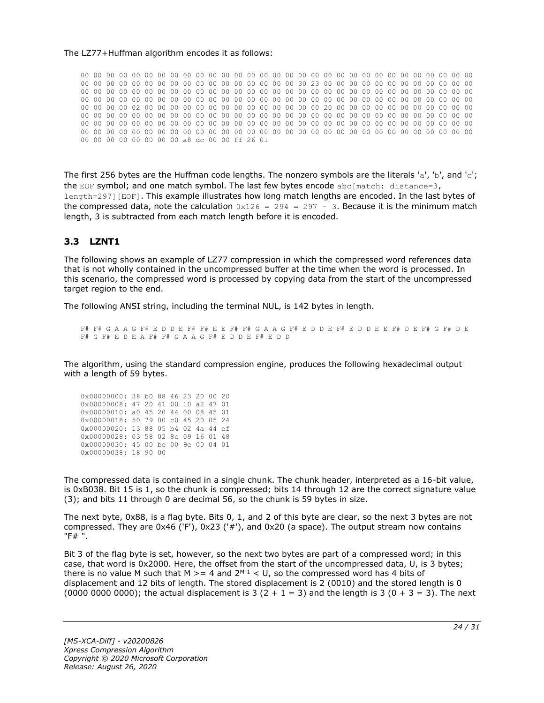#### The LZ77+Huffman algorithm encodes it as follows:

00 00 00 00 00 00 00 00 00 00 00 00 00 00 00 00 00 00 00 00 00 00 00 00 00 00 00 00 00 00 00 00 00 00 00 00 00 00 00 00 00 00 00 00 00 00 00 00 30 23 00 00 00 00 00 00 00 00 00 00 00 00 00 00 00 00 00 00 00 00 00 00 00 00 00 00 00 00 00 00 00 00 00 00 00 00 00 00 00 00 00 00 00 00 00 00 00 00 00 00 00 00 00 00 00 00 00 00 00 00 00 00 00 00 00 00 00 00 00 00 00 00 00 00 00 00 00 00 02 00 00 00 00 00 00 00 00 00 00 00 00 00 00 20 00 00 00 00 00 00 00 00 00 00 00 00 00 00 00 00 00 00 00 00 00 00 00 00 00 00 00 00 00 00 00 00 00 00 00 00 00 00 00 00 00 00 00 00 00 00 00 00 00 00 00 00 00 00 00 00 00 00 00 00 00 00 00 00 00 00 00 00 00 00 00 00 00 00 00 00 00 00 00 00 00 00 00 00 00 00 00 00 00 00 00 00 00 00 00 00 00 00 00 00 00 00 00 00 00 00 00 00 00 00 00 00 a8 dc 00 00 ff 26 01

The first 256 bytes are the Huffman code lengths. The nonzero symbols are the literals 'a', 'b', and 'c'; the EOF symbol; and one match symbol. The last few bytes encode  $abc[match: distance=3,$ length=297][EOF]. This example illustrates how long match lengths are encoded. In the last bytes of the compressed data, note the calculation  $0x126 = 294 = 297 - 3$ . Because it is the minimum match length, 3 is subtracted from each match length before it is encoded.

# <span id="page-23-0"></span>**3.3 LZNT1**

The following shows an example of LZ77 compression in which the compressed word references data that is not wholly contained in the uncompressed buffer at the time when the word is processed. In this scenario, the compressed word is processed by copying data from the start of the uncompressed target region to the end.

The following ANSI string, including the terminal NUL, is 142 bytes in length.

F# F# G A A G F# E D D E F# F# E E F# F# G A A G F# E D D E F# E D D E E F# D E F# G F# D E F# G F# E D E A F# F# G A A G F# E D D E F# E D D

The algorithm, using the standard compression engine, produces the following hexadecimal output with a length of 59 bytes.

| 0x00000000: 38 b0 88 46 23 20 00 20 |  |  |  |  |
|-------------------------------------|--|--|--|--|
| 0x00000008: 47 20 41 00 10 a2 47 01 |  |  |  |  |
| 0x00000010: a0 45 20 44 00 08 45 01 |  |  |  |  |
| 0x00000018: 50 79 00 c0 45 20 05 24 |  |  |  |  |
|                                     |  |  |  |  |
| 0x00000020: 13 88 05 b4 02 4a 44 ef |  |  |  |  |
| 0x00000028: 03 58 02 8c 09 16 01 48 |  |  |  |  |
| 0x00000030: 45 00 be 00 9e 00 04 01 |  |  |  |  |

The compressed data is contained in a single chunk. The chunk header, interpreted as a 16-bit value, is 0xB038. Bit 15 is 1, so the chunk is compressed; bits 14 through 12 are the correct signature value (3); and bits 11 through 0 are decimal 56, so the chunk is 59 bytes in size.

The next byte, 0x88, is a flag byte. Bits 0, 1, and 2 of this byte are clear, so the next 3 bytes are not compressed. They are 0x46 ('F'), 0x23 ('#'), and 0x20 (a space). The output stream now contains "F# ".

Bit 3 of the flag byte is set, however, so the next two bytes are part of a compressed word; in this case, that word is 0x2000. Here, the offset from the start of the uncompressed data, U, is 3 bytes; there is no value M such that M  $>= 4$  and  $2^{M-1} < U$ , so the compressed word has 4 bits of displacement and 12 bits of length. The stored displacement is 2 (0010) and the stored length is 0 (0000 0000 0000); the actual displacement is 3 (2 + 1 = 3) and the length is 3 (0 + 3 = 3). The next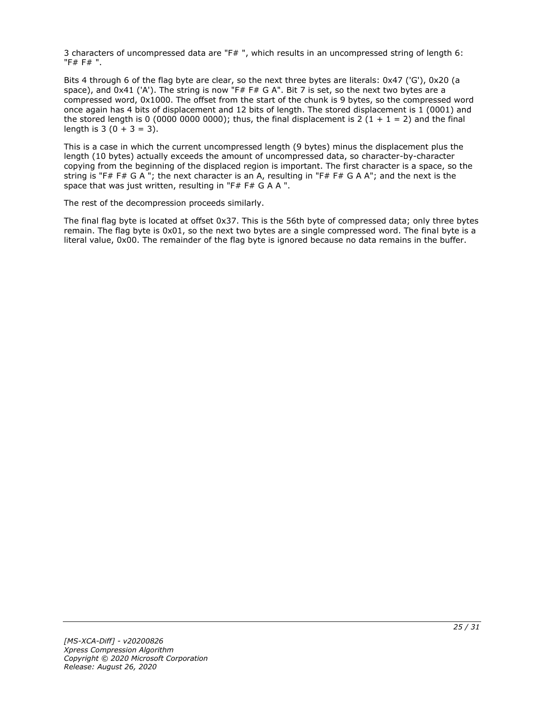3 characters of uncompressed data are "F# ", which results in an uncompressed string of length 6: "F# F# ".

Bits 4 through 6 of the flag byte are clear, so the next three bytes are literals: 0x47 ('G'), 0x20 (a space), and 0x41 ('A'). The string is now "F# F# G A". Bit 7 is set, so the next two bytes are a compressed word, 0x1000. The offset from the start of the chunk is 9 bytes, so the compressed word once again has 4 bits of displacement and 12 bits of length. The stored displacement is 1 (0001) and the stored length is 0 (0000 0000 0000); thus, the final displacement is 2 (1 + 1 = 2) and the final length is  $3(0 + 3 = 3)$ .

This is a case in which the current uncompressed length (9 bytes) minus the displacement plus the length (10 bytes) actually exceeds the amount of uncompressed data, so character-by-character copying from the beginning of the displaced region is important. The first character is a space, so the string is "F# F# G A "; the next character is an A, resulting in "F# F# G A A"; and the next is the space that was just written, resulting in "F# F# G A A ".

The rest of the decompression proceeds similarly.

The final flag byte is located at offset 0x37. This is the 56th byte of compressed data; only three bytes remain. The flag byte is 0x01, so the next two bytes are a single compressed word. The final byte is a literal value, 0x00. The remainder of the flag byte is ignored because no data remains in the buffer.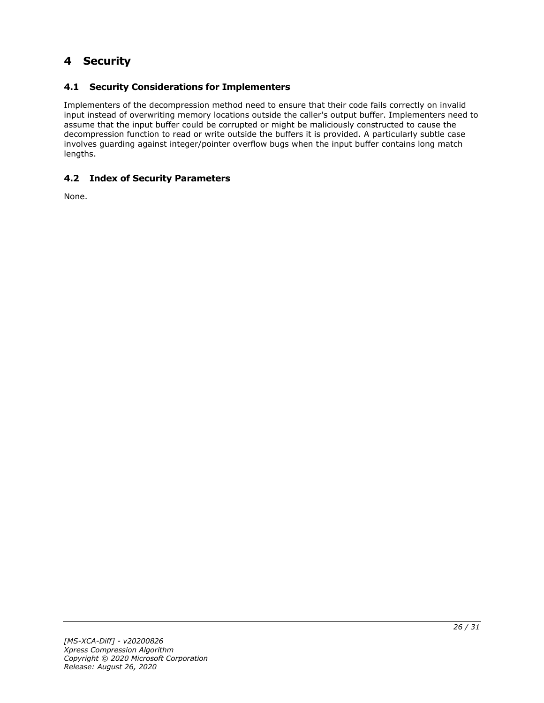# <span id="page-25-0"></span>**4 Security**

# <span id="page-25-1"></span>**4.1 Security Considerations for Implementers**

Implementers of the decompression method need to ensure that their code fails correctly on invalid input instead of overwriting memory locations outside the caller's output buffer. Implementers need to assume that the input buffer could be corrupted or might be maliciously constructed to cause the decompression function to read or write outside the buffers it is provided. A particularly subtle case involves guarding against integer/pointer overflow bugs when the input buffer contains long match lengths.

# <span id="page-25-2"></span>**4.2 Index of Security Parameters**

None.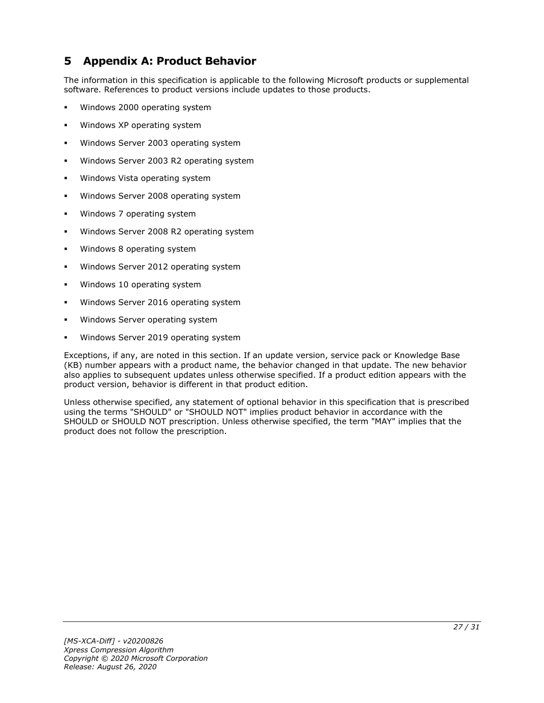# <span id="page-26-0"></span>**5 Appendix A: Product Behavior**

The information in this specification is applicable to the following Microsoft products or supplemental software. References to product versions include updates to those products.

- Windows 2000 operating system
- Windows XP operating system
- Windows Server 2003 operating system
- Windows Server 2003 R2 operating system
- Windows Vista operating system
- Windows Server 2008 operating system
- Windows 7 operating system
- Windows Server 2008 R2 operating system
- Windows 8 operating system
- Windows Server 2012 operating system
- Windows 10 operating system
- Windows Server 2016 operating system
- Windows Server operating system
- Windows Server 2019 operating system

Exceptions, if any, are noted in this section. If an update version, service pack or Knowledge Base (KB) number appears with a product name, the behavior changed in that update. The new behavior also applies to subsequent updates unless otherwise specified. If a product edition appears with the product version, behavior is different in that product edition.

Unless otherwise specified, any statement of optional behavior in this specification that is prescribed using the terms "SHOULD" or "SHOULD NOT" implies product behavior in accordance with the SHOULD or SHOULD NOT prescription. Unless otherwise specified, the term "MAY" implies that the product does not follow the prescription.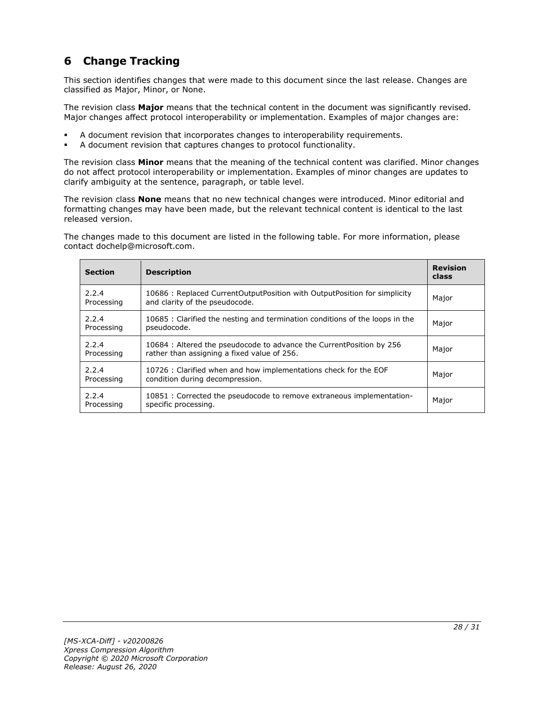# <span id="page-27-0"></span>**6 Change Tracking**

This section identifies changes that were made to this document since the last release. Changes are classified as Major, Minor, or None.

The revision class **Major** means that the technical content in the document was significantly revised. Major changes affect protocol interoperability or implementation. Examples of major changes are:

- A document revision that incorporates changes to interoperability requirements.
- A document revision that captures changes to protocol functionality.

The revision class **Minor** means that the meaning of the technical content was clarified. Minor changes do not affect protocol interoperability or implementation. Examples of minor changes are updates to clarify ambiguity at the sentence, paragraph, or table level.

The revision class **None** means that no new technical changes were introduced. Minor editorial and formatting changes may have been made, but the relevant technical content is identical to the last released version.

The changes made to this document are listed in the following table. For more information, please contact dochelp@microsoft.com.

| <b>Section</b>      | <b>Description</b>                                                                                                  | <b>Revision</b><br>class |
|---------------------|---------------------------------------------------------------------------------------------------------------------|--------------------------|
| 2.2.4<br>Processing | 10686 : Replaced CurrentOutputPosition with OutputPosition for simplicity<br>and clarity of the pseudocode.         | Major                    |
| 2.2.4<br>Processing | 10685 : Clarified the nesting and termination conditions of the loops in the<br>pseudocode.                         | Major                    |
| 2.2.4<br>Processing | 10684 : Altered the pseudocode to advance the CurrentPosition by 256<br>rather than assigning a fixed value of 256. | Major                    |
| 2.2.4<br>Processing | 10726 : Clarified when and how implementations check for the EOF<br>condition during decompression.                 | Major                    |
| 2.2.4<br>Processing | 10851 : Corrected the pseudocode to remove extraneous implementation-<br>specific processing.                       | Major                    |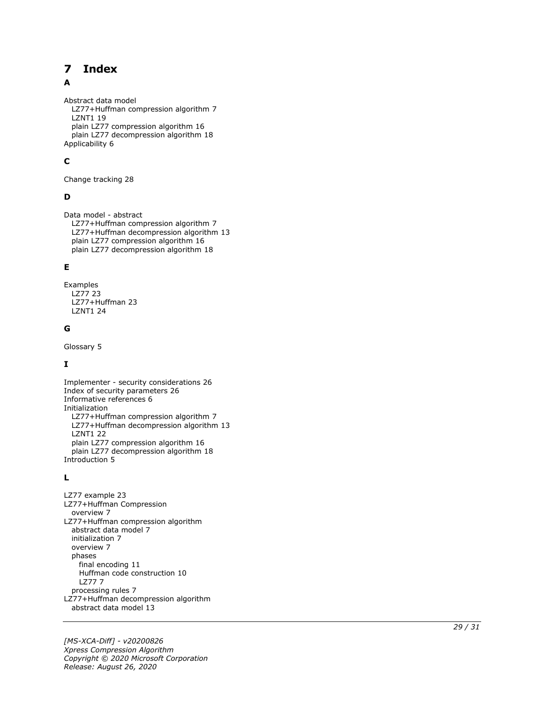#### <span id="page-28-0"></span>**Index**  $\overline{\mathbf{z}}$

### A

Abstract data model LZ77+Huffman compression algorithm 7 LZNT1 19 plain LZ77 compression algorithm 16 plain LZ77 decompression algorithm 18 Applicability 6

# **C**

Change tracking 28

### **D**

Data model - abstract LZ77+Huffman compression algorithm 7 LZ77+Huffman decompression algorithm 13 plain LZ77 compression algorithm 16 plain LZ77 decompression algorithm 18

### **E**

Examples LZ77 23 LZ77+Huffman 23 LZNT1 24

### **G**

Glossary 5

# **I**

Implementer - security considerations 26 Index of security parameters 26 Informative references 6 Initialization LZ77+Huffman compression algorithm 7 LZ77+Huffman decompression algorithm 13 LZNT1 22 plain LZ77 compression algorithm 16 plain LZ77 decompression algorithm 18 Introduction 5

#### **L**

**7 Index**<br>
Abstract data model<br>
LZ77+Huffman compres<br>
LZ77119<br>
plain LZ77 compression<br>
plain LZ77 decompressi<br>
Applicability 6<br> **C**<br>
Change tracking 28<br> **D**<br>
Data model - abstract<br>
LZ77+Huffman decompressi<br>
LZ77+Huffman LZ77 example 23 LZ77+Huffman Compression overview 7 LZ77+Huffman compression algorithm abstract data model 7 initialization 7 overview 7 phases final encoding 11 Huffman code construction 10 LZ77 7 processing rules 7 LZ77+Huffman decompression algorithm abstract data model 13

*[MS -XCA -Diff] - v20200826 Xpress Compression Algorithm Copyright © 2020 Microsoft Corporation* Release: August 26, 2020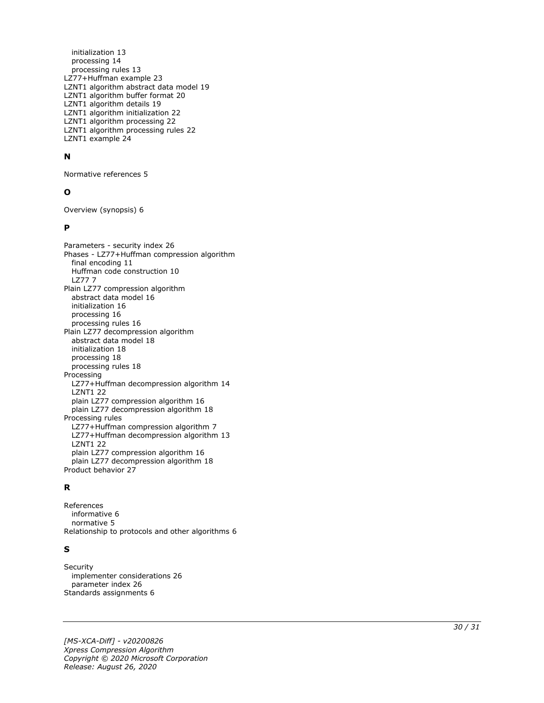initialization 13 processing 14 processing rules 13 LZ77+Huffman example 23 LZNT1 algorithm abstract data model 19 LZNT1 algorithm buffer format 20 LZNT1 algorithm details 19 LZNT1 algorithm initialization 22 LZNT1 algorithm processing 22 LZNT1 algorithm processing rules 22 LZNT1 example 24

#### **N**

Normative references 5

#### **O**

Overview (synopsis) 6

#### **P**

Parameters - security index 26 Phases - LZ77+Huffman compression algorithm final encoding 11 Huffman code construction 10 LZ77 7 Plain LZ77 compression algorithm abstract data model 16 initialization 16 processing 16 processing rules 16 Plain LZ77 decompression algorithm abstract data model 18 initialization 18 processing 18 processing rules 18 Processing LZ77+Huffman decompression algorithm 14 LZNT1 22 plain LZ77 compression algorithm 16 plain LZ77 decompression algorithm 18 Processing rules LZ77+Huffman compression algorithm 7 LZ77+Huffman decompression algorithm 13 LZNT1 22 plain LZ77 compression algorithm 16 plain LZ77 decompression algorithm 18 Product behavior 27

#### **R**

References informative 6 normative 5 Relationship to protocols and other algorithms 6

#### **S**

Securit y implementer considerations 26 parameter index 26 Standards assignments 6

*[MS -XCA -Diff] - v20200826 Xpress Compression Algorithm Copyright © 2020 Microsoft Corporation Release: August 26, 2020*